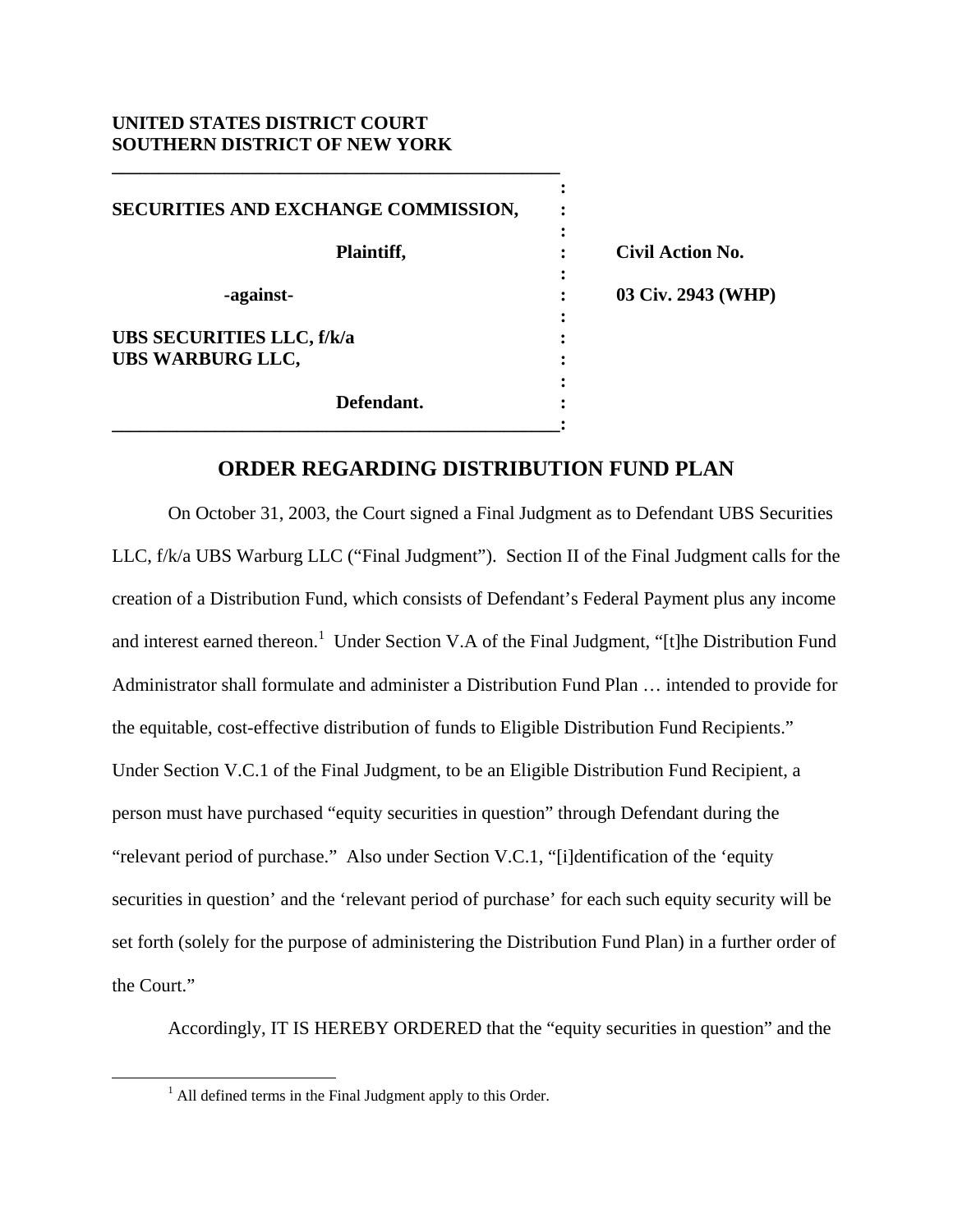## **UNITED STATES DISTRICT COURT SOUTHERN DISTRICT OF NEW YORK**

**\_\_\_\_\_\_\_\_\_\_\_\_\_\_\_\_\_\_\_\_\_\_\_\_\_\_\_\_\_\_\_\_\_\_\_\_\_\_\_\_\_\_\_\_\_\_\_\_** 

| SECURITIES AND EXCHANGE COMMISSION,                         |                         |
|-------------------------------------------------------------|-------------------------|
| Plaintiff,                                                  | <b>Civil Action No.</b> |
| -against-                                                   | 03 Civ. 2943 (WHP)      |
| <b>UBS SECURITIES LLC, f/k/a</b><br><b>UBS WARBURG LLC,</b> |                         |
| Defendant.                                                  |                         |

## **ORDER REGARDING DISTRIBUTION FUND PLAN**

 On October 31, 2003, the Court signed a Final Judgment as to Defendant UBS Securities LLC, f/k/a UBS Warburg LLC ("Final Judgment"). Section II of the Final Judgment calls for the creation of a Distribution Fund, which consists of Defendant's Federal Payment plus any income and interest earned thereon.<sup>1</sup> Under Section V.A of the Final Judgment, "[t]he Distribution Fund Administrator shall formulate and administer a Distribution Fund Plan … intended to provide for the equitable, cost-effective distribution of funds to Eligible Distribution Fund Recipients." Under Section V.C.1 of the Final Judgment, to be an Eligible Distribution Fund Recipient, a person must have purchased "equity securities in question" through Defendant during the "relevant period of purchase." Also under Section V.C.1, "[i]dentification of the 'equity securities in question' and the 'relevant period of purchase' for each such equity security will be set forth (solely for the purpose of administering the Distribution Fund Plan) in a further order of the Court."

Accordingly, IT IS HEREBY ORDERED that the "equity securities in question" and the

 $\frac{1}{1}$  $<sup>1</sup>$  All defined terms in the Final Judgment apply to this Order.</sup>